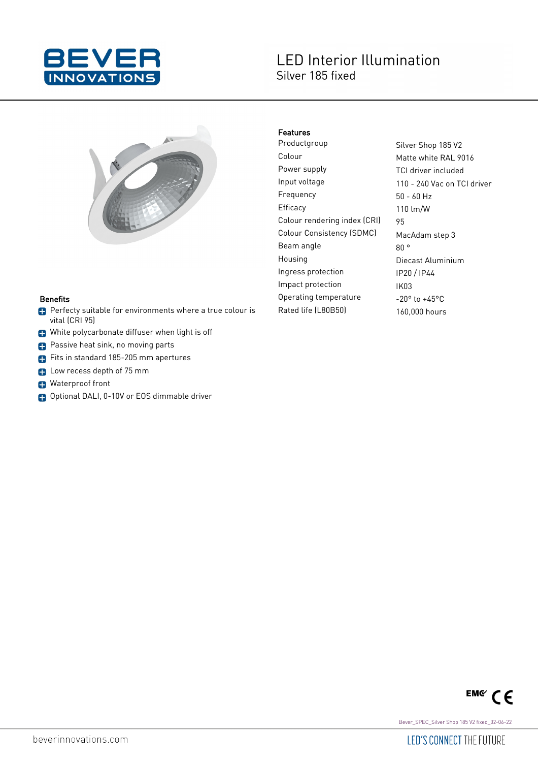

# **LED Interior Illumination** Silver 185 fixed



#### **Benefits**

- **Perfecty suitable for environments where a true colour is** vital (CRI 95)
- White polycarbonate diffuser when light is off
- **Passive heat sink, no moving parts**
- Fits in standard 185-205 mm apertures
- **C** Low recess depth of 75 mm
- **P** Waterproof front
- Optional DALI, 0-10V or EOS dimmable driver

### Features

Productgroup Silver Shop 185 V2 Colour Matte white RAL 9016 Power supply TCI driver included Input voltage 110 - 240 Vac on TCI driver Frequency 50 - 60 Hz Efficacy 110 lm/W Colour rendering index (CRI) 95 Colour Consistency (SDMC) MacAdam step 3 Beam angle 80 ° Housing **Diecast Aluminium** Ingress protection IP20 / IP44 Impact protection IK03 Operating temperature -20° to +45°C Rated life (L80B50) 160,000 hours

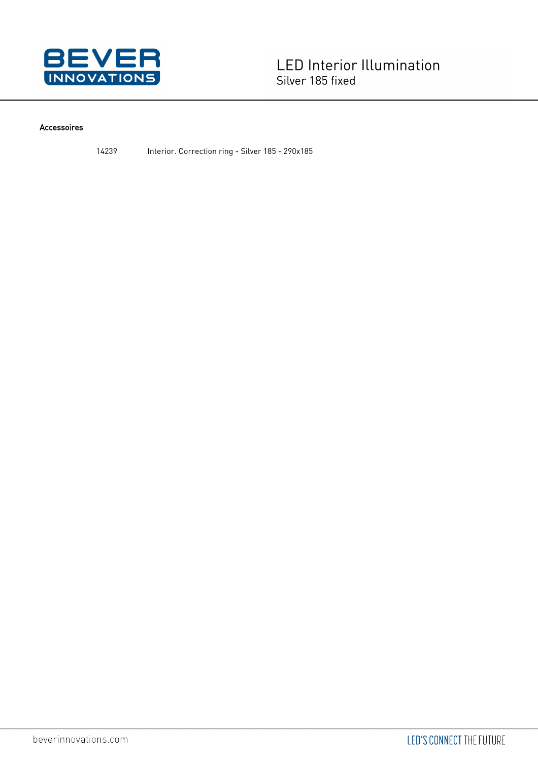

#### Accessoires

14239 Interior. Correction ring - Silver 185 - 290x185